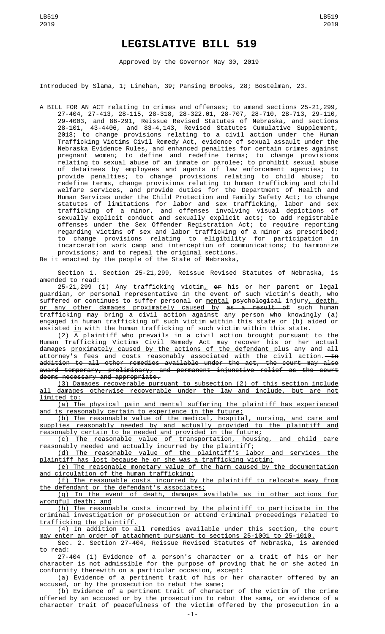## **LEGISLATIVE BILL 519**

Approved by the Governor May 30, 2019

Introduced by Slama, 1; Linehan, 39; Pansing Brooks, 28; Bostelman, 23.

A BILL FOR AN ACT relating to crimes and offenses; to amend sections 25-21,299, 27-404, 27-413, 28-115, 28-318, 28-322.01, 28-707, 28-710, 28-713, 29-110, 29-4003, and 86-291, Reissue Revised Statutes of Nebraska, and sections 28-101, 43-4406, and 83-4,143, Revised Statutes Cumulative Supplement, 2018; to change provisions relating to a civil action under the Human Trafficking Victims Civil Remedy Act, evidence of sexual assault under the Nebraska Evidence Rules, and enhanced penalties for certain crimes against pregnant women; to define and redefine terms; to change provisions relating to sexual abuse of an inmate or parolee; to prohibit sexual abuse of detainees by employees and agents of law enforcement agencies; to provide penalties; to change provisions relating to child abuse; to redefine terms, change provisions relating to human trafficking and child welfare services, and provide duties for the Department of Health and Human Services under the Child Protection and Family Safety Act; to change statutes of limitations for labor and sex trafficking, labor and sex trafficking of a minor, and offenses involving visual depictions of sexually explicit conduct and sexually explicit acts; to add registrable offenses under the Sex Offender Registration Act; to require reporting regarding victims of sex and labor trafficking of a minor as prescribed; to change provisions relating to eligibility for participation in incarceration work camp and interception of communications; to harmonize provisions; and to repeal the original sections. Be it enacted by the people of the State of Nebraska,

Section 1. Section 25-21,299, Reissue Revised Statutes of Nebraska, is amended to read:

25-21,299 (1) Any trafficking victim $_{\rm L}$  o<del>r</del> his or her parent or legal guardian, or personal representative in the event of such victim's death, who suffered or continues to suffer personal or <u>mental</u> psychological injury, death, <u>or any other damages proximately caused by</u> <del>as a result of</del> such human trafficking may bring a civil action against any person who knowingly (a) engaged in human trafficking of such victim within this state or (b) aided or assisted in with the human trafficking of such victim within this state.

(2)  $\overline{A}$  plaintiff who prevails in a civil action brought pursuant to the Human Trafficking Victims Civil Remedy Act may recover his or her <del>actual</del> damages <u>proximately caused by the actions of the defendant p</u>lus any and all attorney's fees and costs reasonably associated with the civil action.—<del>In</del> addition to all other remedies available under the act, the court may also award temporary, preliminary, and permanent injunctive relief as the court deems necessary and appropriate.

(3) Damages recoverable pursuant to subsection (2) of this section include all damages otherwise recoverable under the law and include, but are not limited to:

(a) The physical pain and mental suffering the plaintiff has experienced and is reasonably certain to experience in the future;

(b) The reasonable value of the medical, hospital, nursing, and care and supplies reasonably needed by and actually provided to the plaintiff and reasonably certain to be needed and provided in the future;

The reasonable value of transportation, housing, and child care reasonably needed and actually incurred by the plaintiff;

(d) The reasonable value of the plaintiff's labor and services the plaintiff has lost because he or she was a trafficking victim;

(e) The reasonable monetary value of the harm caused by the documentation and circulation of the human trafficking;

(f) The reasonable costs incurred by the plaintiff to relocate away from the defendant or the defendant's associates;

(g) In the event of death, damages available as in other actions for wrongful death; and

(h) The reasonable costs incurred by the plaintiff to participate in the criminal investigation or prosecution or attend criminal proceedings related to trafficking the plaintiff.

(4) In addition to all remedies available under this section, the court may enter an order of attachment pursuant to sections 25-1001 to 25-1010.

Sec. 2. Section 27-404, Reissue Revised Statutes of Nebraska, is amended to read:

27-404 (1) Evidence of a person's character or a trait of his or her character is not admissible for the purpose of proving that he or she acted in conformity therewith on a particular occasion, except:

(a) Evidence of a pertinent trait of his or her character offered by an accused, or by the prosecution to rebut the same;

(b) Evidence of a pertinent trait of character of the victim of the crime offered by an accused or by the prosecution to rebut the same, or evidence of a character trait of peacefulness of the victim offered by the prosecution in a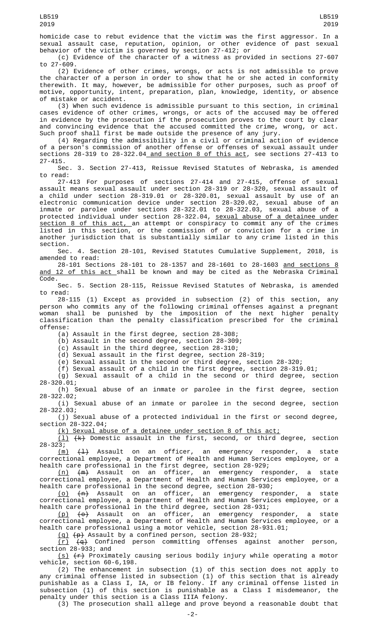2019

homicide case to rebut evidence that the victim was the first aggressor. In a sexual assault case, reputation, opinion, or other evidence of past sexual behavior of the victim is governed by section 27-412; or

(c) Evidence of the character of a witness as provided in sections 27-607 to 27-609.

(2) Evidence of other crimes, wrongs, or acts is not admissible to prove the character of a person in order to show that he or she acted in conformity therewith. It may, however, be admissible for other purposes, such as proof of motive, opportunity, intent, preparation, plan, knowledge, identity, or absence of mistake or accident.

(3) When such evidence is admissible pursuant to this section, in criminal cases evidence of other crimes, wrongs, or acts of the accused may be offered in evidence by the prosecution if the prosecution proves to the court by clear and convincing evidence that the accused committed the crime, wrong, or act. Such proof shall first be made outside the presence of any jury.

(4) Regarding the admissibility in a civil or criminal action of evidence of a person's commission of another offense or offenses of sexual assault under sections 28-319 to 28-322.04 and section 8 of this act, see sections 27-413 to 27-415.

Sec. 3. Section 27-413, Reissue Revised Statutes of Nebraska, is amended to read:

27-413 For purposes of sections 27-414 and 27-415, offense of sexual assault means sexual assault under section 28-319 or 28-320, sexual assault of a child under section 28-319.01 or 28-320.01, sexual assault by use of an electronic communication device under section 28-320.02, sexual abuse of an inmate or parolee under sections 28-322.01 to 28-322.03, sexual abuse of a protected individual under section 28-322.04, <u>sexual abuse of a detainee under</u> section 8 of this act, an attempt or conspiracy to commit any of the crimes listed in this section, or the commission of or conviction for a crime in another jurisdiction that is substantially similar to any crime listed in this section.

Sec. 4. Section 28-101, Revised Statutes Cumulative Supplement, 2018, is amended to read:

28-101 Sections 28-101 to 28-1357 and 28-1601 to 28-1603 and sections 8 and 12 of this act shall be known and may be cited as the Nebraska Criminal Code.

Sec. 5. Section 28-115, Reissue Revised Statutes of Nebraska, is amended to read:

28-115 (1) Except as provided in subsection (2) of this section, any person who commits any of the following criminal offenses against a pregnant woman shall be punished by the imposition of the next higher penalty classification than the penalty classification prescribed for the criminal offense:

(a) Assault in the first degree, section 28-308;

(b) Assault in the second degree, section 28-309;

(c) Assault in the third degree, section 28-310;

(d) Sexual assault in the first degree, section 28-319;

(e) Sexual assault in the second or third degree, section 28-320;

(f) Sexual assault of a child in the first degree, section 28-319.01;

(g) Sexual assault of a child in the second or third degree, section 28-320.01;

(h) Sexual abuse of an inmate or parolee in the first degree, section 28-322.02;

(i) Sexual abuse of an inmate or parolee in the second degree, section 28-322.03;

(j) Sexual abuse of a protected individual in the first or second degree, section 28-322.04;

(k) Sexual abuse of a detainee under section 8 of this act;

(l) (k) Domestic assault in the first, second, or third degree, section 28-323;

 $(m)$   $(1)$  Assault on an officer, an emergency responder, a state correctional employee, a Department of Health and Human Services employee, or a health care professional in the first degree, section 28-929;

(n) (m) Assault on an officer, an emergency responder, a state correctional employee, a Department of Health and Human Services employee, or a health care professional in the second degree, section 28-930;

(o) (n) Assault on an officer, an emergency responder, a state correctional employee, a Department of Health and Human Services employee, or a health care professional in the third degree, section 28-931;

<u>(p)</u> <del>(o)</del> Assault on an officer, an emergency responder, a state correctional employee, a Department of Health and Human Services employee, or a health care professional using a motor vehicle, section 28-931.01;

 $(q)$   $(p)$  Assault by a confined person, section 28-932;

(r) (q) Confined person committing offenses against another person, section 28-933; and

(s)  $(r)$  Proximately causing serious bodily injury while operating a motor vehicle, section 60-6,198.

(2) The enhancement in subsection (1) of this section does not apply to any criminal offense listed in subsection (1) of this section that is already punishable as a Class I, IA, or IB felony. If any criminal offense listed in subsection (1) of this section is punishable as a Class I misdemeanor, the penalty under this section is a Class IIIA felony.

(3) The prosecution shall allege and prove beyond a reasonable doubt that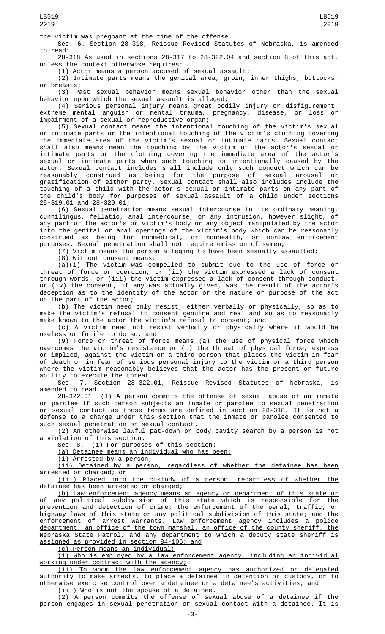the victim was pregnant at the time of the offense.

Sec. 6. Section 28-318, Reissue Revised Statutes of Nebraska, is amended to read:

28-318 As used in sections 28-317 to 28-322.04 and section 8 of this act, unless the context otherwise requires:

(1) Actor means a person accused of sexual assault;

(2) Intimate parts means the genital area, groin, inner thighs, buttocks, or breasts;

(3) Past sexual behavior means sexual behavior other than the sexual behavior upon which the sexual assault is alleged;

(4) Serious personal injury means great bodily injury or disfigurement, extreme mental anguish or mental trauma, pregnancy, disease, or loss or impairment of a sexual or reproductive organ;

(5) Sexual contact means the intentional touching of the victim's sexual or intimate parts or the intentional touching of the victim's clothing covering the immediate area of the victim's sexual or intimate parts. Sexual contact <del>shall</del> also <u>means</u> <del>mean</del> the touching by the victim of the actor's sexual or intimate parts or the clothing covering the immediate area of the actor's sexual or intimate parts when such touching is intentionally caused by the actor. Sexual contact <u>includes</u> <del>shall include</del> only such conduct which can be reasonably construed as being for the purpose of sexual arousal or gratification of either party. Sexual contact <del>shall</del> also <u>includes</u> <del>include</del> the touching of a child with the actor's sexual or intimate parts on any part of the child's body for purposes of sexual assault of a child under sections 28-319.01 and 28-320.01;

(6) Sexual penetration means sexual intercourse in its ordinary meaning, cunnilingus, fellatio, anal intercourse, or any intrusion, however slight, of any part of the actor's or victim's body or any object manipulated by the actor into the genital or anal openings of the victim's body which can be reasonably construed as being for nonmedical<u>,</u> <del>or</del> nonhealth<u>, or nonlaw enforcement</u> purposes. Sexual penetration shall not require emission of semen;

(7) Victim means the person alleging to have been sexually assaulted;

(8) Without consent means:

(a)(i) The victim was compelled to submit due to the use of force or threat of force or coercion, or (ii) the victim expressed a lack of consent through words, or (iii) the victim expressed a lack of consent through conduct, or (iv) the consent, if any was actually given, was the result of the actor's deception as to the identity of the actor or the nature or purpose of the act on the part of the actor;

(b) The victim need only resist, either verbally or physically, so as to make the victim's refusal to consent genuine and real and so as to reasonably make known to the actor the victim's refusal to consent; and

(c) A victim need not resist verbally or physically where it would be useless or futile to do so; and

(9) Force or threat of force means (a) the use of physical force which overcomes the victim's resistance or (b) the threat of physical force, express or implied, against the victim or a third person that places the victim in fear of death or in fear of serious personal injury to the victim or a third person where the victim reasonably believes that the actor has the present or future ability to execute the threat.

Sec. 7. Section 28-322.01, Reissue Revised Statutes of Nebraska, is amended to read:

 $28-322.01$   $(1)$  A person commits the offense of sexual abuse of an inmate or parolee if such person subjects an inmate or parolee to sexual penetration or sexual contact as those terms are defined in section 28-318. It is not a defense to a charge under this section that the inmate or parolee consented to such sexual penetration or sexual contact.

(2) An otherwise lawful pat-down or body cavity search by a person is not a violation of this section.

Sec. 8. (1) For purposes of this section:

(a) Detainee means an individual who has been:

(i) Arrested by a person;

(ii) Detained by a person, regardless of whether the detainee has been arrested or charged; or

(iii) Placed into the custody of a person, regardless of whether the detainee has been arrested or charged;

(b) Law enforcement agency means an agency or department of this state or any political subdivision of this state which is responsible for the prevention and detection of crime; the enforcement of the penal, traffic, or highway laws of this state or any political subdivision of this state; and the enforcement of arrest warrants. Law enforcement agency includes a police department, an office of the town marshal, an office of the county sheriff, the Nebraska State Patrol, and any department to which a deputy state sheriff is assigned as provided in section 84-106; and

(c) Person means an individual:

(i) Who is employed by a law enforcement agency, including an individual working under contract with the agency;<br>(ii) To whom the law enforcement

agency has authorized or delegated authority to make arrests, to place a detainee in detention or custody, or to otherwise exercise control over a detainee or a detainee's activities; and

(iii) Who is not the spouse of a detainee.

(2) A person commits the offense of sexual abuse of a detainee if the person engages in sexual penetration or sexual contact with a detainee. It is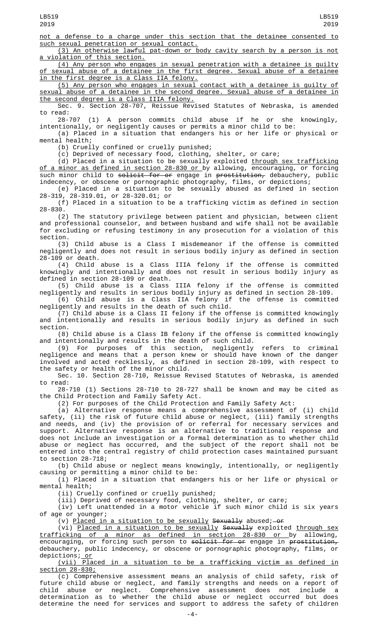not a defense to a charge under this section that the detainee consented to such sexual penetration or sexual contact.

(3) An otherwise lawful pat-down or body cavity search by a person is not violation of this section.

(4) Any person who engages in sexual penetration with a detainee is guilty of sexual abuse of a detainee in the first degree. Sexual abuse of a detainee in the first degree is a Class IIA felony.

(5) Any person who engages in sexual contact with a detainee is guilty of sexual abuse of a detainee in the second degree. Sexual abuse of a detainee in the second degree is a Class IIIA felony.

Sec. 9. Section 28-707, Reissue Revised Statutes of Nebraska, is amended to read:<br>28-707

(1) A person commits child abuse if he or she knowingly, intentionally, or negligently causes or permits a minor child to be:

(a) Placed in a situation that endangers his or her life or physical or mental health;

(b) Cruelly confined or cruelly punished;

(c) Deprived of necessary food, clothing, shelter, or care;

(d) Placed in a situation to be sexually exploited <u>through sex trafficking</u> <u>of a minor as defined in section 28-830 or </u>by allowing, encouraging, or forcing such minor child to <del>solicit for or</del> engage in <del>prostitution,</del> debauchery, public indecency, or obscene or pornographic photography, films, or depictions;

(e) Placed in a situation to be sexually abused as defined in section 28-319, 28-319.01, or 28-320.01; or

(f) Placed in a situation to be a trafficking victim as defined in section 28-830.

(2) The statutory privilege between patient and physician, between client and professional counselor, and between husband and wife shall not be available for excluding or refusing testimony in any prosecution for a violation of this section.

(3) Child abuse is a Class I misdemeanor if the offense is committed negligently and does not result in serious bodily injury as defined in section 28-109 or death.

(4) Child abuse is a Class IIIA felony if the offense is committed knowingly and intentionally and does not result in serious bodily injury as defined in section 28-109 or death.

(5) Child abuse is a Class IIIA felony if the offense is committed negligently and results in serious bodily injury as defined in section 28-109.

(6) Child abuse is a Class IIA felony if the offense is committed negligently and results in the death of such child.

(7) Child abuse is a Class II felony if the offense is committed knowingly and intentionally and results in serious bodily injury as defined in such section.

(8) Child abuse is a Class IB felony if the offense is committed knowingly and intentionally and results in the death of such child.

(9) For purposes of this section, negligently refers to criminal negligence and means that a person knew or should have known of the danger involved and acted recklessly, as defined in section 28-109, with respect to the safety or health of the minor child.

Sec. 10. Section 28-710, Reissue Revised Statutes of Nebraska, is amended to read:

28-710 (1) Sections 28-710 to 28-727 shall be known and may be cited as the Child Protection and Family Safety Act.

(2) For purposes of the Child Protection and Family Safety Act:

(a) Alternative response means a comprehensive assessment of (i) child safety, (ii) the risk of future child abuse or neglect, (iii) family strengths and needs, and (iv) the provision of or referral for necessary services and support. Alternative response is an alternative to traditional response and does not include an investigation or a formal determination as to whether child abuse or neglect has occurred, and the subject of the report shall not be entered into the central registry of child protection cases maintained pursuant to section 28-718;

(b) Child abuse or neglect means knowingly, intentionally, or negligently causing or permitting a minor child to be:

(i) Placed in a situation that endangers his or her life or physical or mental health;

(ii) Cruelly confined or cruelly punished;

(iii) Deprived of necessary food, clothing, shelter, or care;

(iv) Left unattended in a motor vehicle if such minor child is six years of age or younger;

(v) <u>Placed in a situation to be sexually</u> S<del>exually</del> abused;—o<del>r</del>

(vi) <u>Placed in a situation to be sexually</u> S<del>exually</del> exploited <u>through sex</u> trafficking of a minor as defined in section 28-830 or by allowing, encouraging, or forcing such person to solicit for or engage in prostitution, debauchery, public indecency, or obscene or pornographic photography, films, or depictions; or

(vii) Placed in a situation to be a trafficking victim as defined in section 28-830;

(c) Comprehensive assessment means an analysis of child safety, risk of future child abuse or neglect, and family strengths and needs on a report of child abuse or neglect. Comprehensive assessment does not include a determination as to whether the child abuse or neglect occurred but does determine the need for services and support to address the safety of children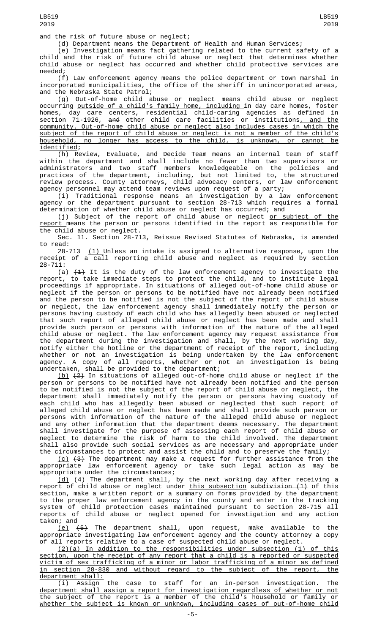and the risk of future abuse or neglect;

(d) Department means the Department of Health and Human Services;

(e) Investigation means fact gathering related to the current safety of a child and the risk of future child abuse or neglect that determines whether child abuse or neglect has occurred and whether child protective services are needed;

(f) Law enforcement agency means the police department or town marshal in incorporated municipalities, the office of the sheriff in unincorporated areas, and the Nebraska State Patrol;

(g) Out-of-home child abuse or neglect means child abuse or neglect occurring <u>outside of a child's family home, including </u>in day care homes, foster homes, day care centers, residential child-caring agencies as defined in section 71-1926, <del>and</del> other child care facilities or institutions<u>, and the</u> community. Out-of-home child abuse or neglect also includes cases in which the subject of the report of child abuse or neglect is not a member of the child's household, no longer has access to the child, is unknown, or cannot be identified;

(h) Review, Evaluate, and Decide Team means an internal team of staff within the department and shall include no fewer than two supervisors or administrators and two staff members knowledgeable on the policies and practices of the department, including, but not limited to, the structured review process. County attorneys, child advocacy centers, or law enforcement agency personnel may attend team reviews upon request of a party;

(i) Traditional response means an investigation by a law enforcement agency or the department pursuant to section 28-713 which requires a formal determination of whether child abuse or neglect has occurred; and

(j) Subject of the report of child abuse or neglect <u>or subject of the</u> report means the person or persons identified in the report as responsible for the child abuse or neglect.

Sec. 11. Section 28-713, Reissue Revised Statutes of Nebraska, is amended to read:

28-713 <u>(1) </u>Unless an intake is assigned to alternative response, upon the receipt of a call reporting child abuse and neglect as required by section 28-711:

(a)  $(1)$  It is the duty of the law enforcement agency to investigate the report, to take immediate steps to protect the child, and to institute legal proceedings if appropriate. In situations of alleged out-of-home child abuse or neglect if the person or persons to be notified have not already been notified and the person to be notified is not the subject of the report of child abuse or neglect, the law enforcement agency shall immediately notify the person or persons having custody of each child who has allegedly been abused or neglected that such report of alleged child abuse or neglect has been made and shall provide such person or persons with information of the nature of the alleged child abuse or neglect. The law enforcement agency may request assistance from the department during the investigation and shall, by the next working day, notify either the hotline or the department of receipt of the report, including whether or not an investigation is being undertaken by the law enforcement agency. A copy of all reports, whether or not an investigation is being undertaken, shall be provided to the department;

(b) (2) In situations of alleged out-of-home child abuse or neglect if the person or persons to be notified have not already been notified and the person to be notified is not the subject of the report of child abuse or neglect, the department shall immediately notify the person or persons having custody of each child who has allegedly been abused or neglected that such report of alleged child abuse or neglect has been made and shall provide such person or persons with information of the nature of the alleged child abuse or neglect and any other information that the department deems necessary. The department shall investigate for the purpose of assessing each report of child abuse or neglect to determine the risk of harm to the child involved. The department shall also provide such social services as are necessary and appropriate under the circumstances to protect and assist the child and to preserve the family;

<u>(c)</u> <del>(3)</del> The department may make a request for further assistance from the appropriate law enforcement agency or take such legal action as may be appropriate under the circumstances;

(d) (4) The department shall, by the next working day after receiving a report of child abuse or neglect under <u>this subsection</u> s<del>ubdivision (1)</del> of this section, make a written report or a summary on forms provided by the department to the proper law enforcement agency in the county and enter in the tracking system of child protection cases maintained pursuant to section 28-715 all reports of child abuse or neglect opened for investigation and any action taken; and

(e) (5) The department shall, upon request, make available to the appropriate investigating law enforcement agency and the county attorney a copy of all reports relative to a case of suspected child abuse or neglect.

(2)(a) In addition to the responsibilities under subsection (1) of this section, upon the receipt of any report that a child is a reported or suspected victim of sex trafficking of a minor or labor trafficking of a minor as defined in section 28-830 and without regard to the subject of the report, the department shall:

(i) Assign the case to staff for an in-person investigation. The department shall assign a report for investigation regardless of whether or not the subject of the report is a member of the child's household or family or whether the subject is known or unknown, including cases of out-of-home child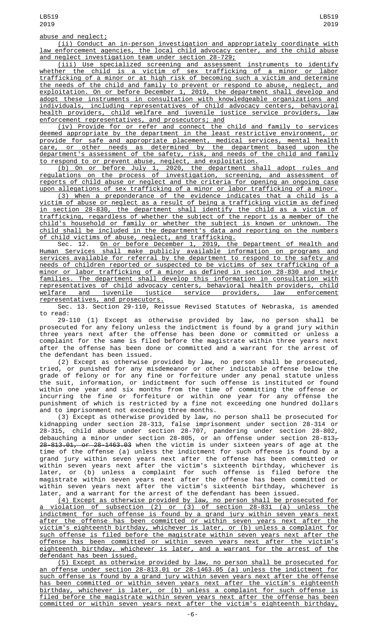(ii) Conduct an in-person investigation and appropriately coordinate with law enforcement agencies, the local child advocacy center, and the child abuse and neglect investigation team under section 28-729;

(iii) Use specialized screening and assessment instruments to identify whether the child is a victim of sex trafficking of a minor or labor trafficking of a minor or at high risk of becoming such a victim and determine the needs of the child and family to prevent or respond to abuse, neglect, and exploitation. On or before December 1, 2019, the department shall develop and adopt these instruments in consultation with knowledgeable organizations and individuals, including representatives of child advocacy centers, behavioral health providers, child welfare and juvenile justice service providers, law enforcement representatives, and prosecutors; and

(iv) Provide for or refer and connect the child and family to services deemed appropriate by the department in the least restrictive environment, or provide for safe and appropriate placement, medical services, mental health care, or other needs as determined by the department based upon the department's assessment of the safety, risk, and needs of the child and family to respond to or prevent abuse, neglect, and exploitation.

(b) On or before July 1, 2020, the department shall adopt rules and regulations on the process of investigation, screening, and assessment of reports of child abuse or neglect and the criteria for opening an ongoing case upon allegations of sex trafficking of a minor or labor trafficking of a minor.

(3) When a preponderance of the evidence indicates that a child is a victim of abuse or neglect as a result of being a trafficking victim as defined in section 28-830, the department shall identify the child as a victim of trafficking, regardless of whether the subject of the report is a member of the child's household or family or whether the subject is known or unknown. The child shall be included in the department's data and reporting on the numbers of child victims of abuse, neglect, and trafficking.

Sec. 12. On or before December 1, 2019, the Department of Health and Human Services shall make publicly available information on programs and services available for referral by the department to respond to the safety and needs of children reported or suspected to be victims of sex trafficking of a minor or labor trafficking of a minor as defined in section 28-830 and their families. The department shall develop this information in consultation with representatives of child advocacy centers, behavioral health providers, child welfare and juvenile justice service providers, law enforcement representatives, and prosecutors.

Sec. 13. Section 29-110, Reissue Revised Statutes of Nebraska, is amended to read:

29-110 (1) Except as otherwise provided by law, no person shall be prosecuted for any felony unless the indictment is found by a grand jury within three years next after the offense has been done or committed or unless a complaint for the same is filed before the magistrate within three years next after the offense has been done or committed and a warrant for the arrest of the defendant has been issued.<br>(2) Except as otherwise provided by law, no person shall be prosecuted,

(2) Except as otherwise provided by law, no person shall be prosecuted, tried, or punished for any misdemeanor or other indictable offense below the grade of felony or for any fine or forfeiture under any penal statute unless the suit, information, or indictment for such offense is instituted or found within one year and six months from the time of committing the offense or incurring the fine or forfeiture or within one year for any offense the punishment of which is restricted by a fine not exceeding one hundred dollars and to imprisonment not exceeding three months.

(3) Except as otherwise provided by law, no person shall be prosecuted for kidnapping under section 28-313, false imprisonment under section 28-314 or 28-315, child abuse under section 28-707, pandering under section 28-802, debauching a minor under section 28-805, or an offense under section 28-813<del>,</del> 28-813.01, or 28-1463.03 when the victim is under sixteen years of age at the time of the offense (a) unless the indictment for such offense is found by a grand jury within seven years next after the offense has been committed or within seven years next after the victim's sixteenth birthday, whichever is later, or (b) unless a complaint for such offense is filed before the magistrate within seven years next after the offense has been committed or within seven years next after the victim's sixteenth birthday, whichever is later, and a warrant for the arrest of the defendant has been issued.

(4) Except as otherwise provided by law, no person shall be prosecuted for a violation of subsection (2) or (3) of section 28-831 (a) unless the indictment for such offense is found by a grand jury within seven years next after the offense has been committed or within seven years next after the victim's eighteenth birthday, whichever is later, or (b) unless a complaint for such offense is filed before the magistrate within seven years next after the offense has been committed or within seven years next after the victim's eighteenth birthday, whichever is later, and a warrant for the arrest of the defendant has been issued.

(5) Except as otherwise provided by law, no person shall be prosecuted for an offense under section 28-813.01 or 28-1463.05 (a) unless the indictment for such offense is found by a grand jury within seven years next after the offense has been committed or within seven years next after the victim's eighteenth birthday, whichever is later, or (b) unless a complaint for such offense is filed before the magistrate within seven years next after the offense has been committed or within seven years next after the victim's eighteenth birthday,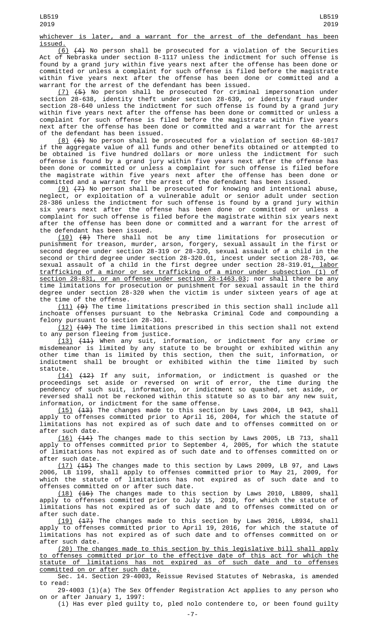## whichever is later, and a warrant for the arrest of the defendant has been

<u>issued.</u><br>(6) (6) (4) No person shall be prosecuted for a violation of the Securities Act of Nebraska under section 8-1117 unless the indictment for such offense is found by a grand jury within five years next after the offense has been done or committed or unless a complaint for such offense is filed before the magistrate within five years next after the offense has been done or committed and a warrant for the arrest of the defendant has been issued.

(7) (5) No person shall be prosecuted for criminal impersonation under section 28-638, identity theft under section 28-639, or identity fraud under section 28-640 unless the indictment for such offense is found by a grand jury within five years next after the offense has been done or committed or unless a complaint for such offense is filed before the magistrate within five years next after the offense has been done or committed and a warrant for the arrest of the defendant has been issued.

(8) (6) No person shall be prosecuted for a violation of section 68-1017 if the aggregate value of all funds and other benefits obtained or attempted to be obtained is five hundred dollars or more unless the indictment for such offense is found by a grand jury within five years next after the offense has been done or committed or unless a complaint for such offense is filed before the magistrate within five years next after the offense has been done or committed and a warrant for the arrest of the defendant has been issued.

 $(9)$   $(7)$  No person shall be prosecuted for knowing and intentional abuse, neglect, or exploitation of a vulnerable adult or senior adult under section 28-386 unless the indictment for such offense is found by a grand jury within six years next after the offense has been done or committed or unless a complaint for such offense is filed before the magistrate within six years next after the offense has been done or committed and a warrant for the arrest of the defendant has been issued.

(10) (8) There shall not be any time limitations for prosecution or punishment for treason, murder, arson, forgery, sexual assault in the first or second degree under section 28-319 or 28-320, sexual assault of a child in the second or third degree under section 28-320.01, incest under section 28-703, or sexual assault of a child in the first degree under section 28-319.01, labor trafficking of a minor or sex trafficking of a minor under subsection (1) of section 28-831, or an offense under section 28-1463.03; nor shall there be any time limitations for prosecution or punishment for sexual assault in the third degree under section 28-320 when the victim is under sixteen years of age at the time of the offense.

(11) (9) The time limitations prescribed in this section shall include all inchoate offenses pursuant to the Nebraska Criminal Code and compounding a felony pursuant to section 28-301.

 $(12)$   $(10)$  The time limitations prescribed in this section shall not extend to any person fleeing from justice.

(13) (11) When any suit, information, or indictment for any crime or misdemeanor is limited by any statute to be brought or exhibited within any other time than is limited by this section, then the suit, information, or indictment shall be brought or exhibited within the time limited by such statute.

(14) (12) If any suit, information, or indictment is quashed or the proceedings set aside or reversed on writ of error, the time during the pendency of such suit, information, or indictment so quashed, set aside, or reversed shall not be reckoned within this statute so as to bar any new suit, information, or indictment for the same offense.

 $(15)$   $(13)$  The changes made to this section by Laws 2004, LB 943, shall apply to offenses committed prior to April 16, 2004, for which the statute of limitations has not expired as of such date and to offenses committed on or after such date.

(16) (14) The changes made to this section by Laws 2005, LB 713, shall apply to offenses committed prior to September 4, 2005, for which the statute of limitations has not expired as of such date and to offenses committed on or after such date.

(17) (15) The changes made to this section by Laws 2009, LB 97, and Laws 2006, LB 1199, shall apply to offenses committed prior to May 21, 2009, for which the statute of limitations has not expired as of such date and to offenses committed on or after such date.

 $(18)$   $(46)$  The changes made to this section by Laws 2010, LB809, shall apply to offenses committed prior to July 15, 2010, for which the statute of limitations has not expired as of such date and to offenses committed on or after such date.

(<u>19)</u> <del>(17)</del> The changes made to this section by Laws 2016, LB934, shall apply to offenses committed prior to April 19, 2016, for which the statute of limitations has not expired as of such date and to offenses committed on or after such date.

(20) The changes made to this section by this legislative bill shall apply to offenses committed prior to the effective date of this act for which the statute of limitations has not expired as of such date and to offenses committed on or after such date.

Sec. 14. Section 29-4003, Reissue Revised Statutes of Nebraska, is amended to read:

29-4003 (1)(a) The Sex Offender Registration Act applies to any person who on or after January 1, 1997:

(i) Has ever pled guilty to, pled nolo contendere to, or been found guilty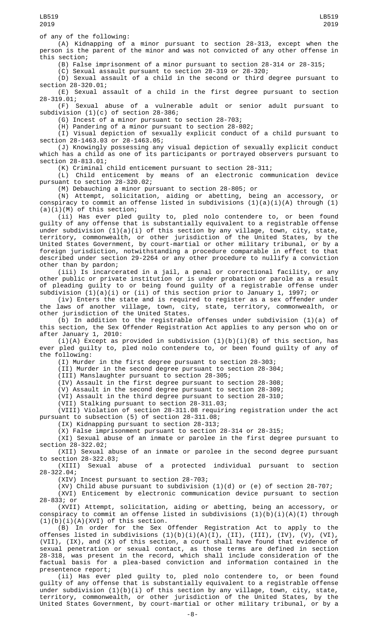of any of the following:

(A) Kidnapping of a minor pursuant to section 28-313, except when the person is the parent of the minor and was not convicted of any other offense in this section;

(B) False imprisonment of a minor pursuant to section 28-314 or 28-315;

(C) Sexual assault pursuant to section 28-319 or 28-320;

(D) Sexual assault of a child in the second or third degree pursuant to section 28-320.01;

(E) Sexual assault of a child in the first degree pursuant to section 28-319.01;

(F) Sexual abuse of a vulnerable adult or senior adult pursuant to subdivision (1)(c) of section 28-386;

(G) Incest of a minor pursuant to section 28-703;

(H) Pandering of a minor pursuant to section 28-802;

(I) Visual depiction of sexually explicit conduct of a child pursuant to section 28-1463.03 or 28-1463.05;

(J) Knowingly possessing any visual depiction of sexually explicit conduct which has a child as one of its participants or portrayed observers pursuant to section 28-813.01;

(K) Criminal child enticement pursuant to section 28-311;

(L) Child enticement by means of an electronic communication device pursuant to section 28-320.02;

(M) Debauching a minor pursuant to section 28-805; or

(N) Attempt, solicitation, aiding or abetting, being an accessory, or conspiracy to commit an offense listed in subdivisions (1)(a)(i)(A) through (1)  $(a)(i)(M)$  of this section;

(ii) Has ever pled guilty to, pled nolo contendere to, or been found guilty of any offense that is substantially equivalent to a registrable offense under subdivision (1)(a)(i) of this section by any village, town, city, state, territory, commonwealth, or other jurisdiction of the United States, by the United States Government, by court-martial or other military tribunal, or by a foreign jurisdiction, notwithstanding a procedure comparable in effect to that described under section 29-2264 or any other procedure to nullify a conviction other than by pardon;

(iii) Is incarcerated in a jail, a penal or correctional facility, or any other public or private institution or is under probation or parole as a result of pleading guilty to or being found guilty of a registrable offense under subdivision (1)(a)(i) or (ii) of this section prior to January 1, 1997; or

(iv) Enters the state and is required to register as a sex offender under the laws of another village, town, city, state, territory, commonwealth, or other jurisdiction of the United States.

(b) In addition to the registrable offenses under subdivision (1)(a) of this section, the Sex Offender Registration Act applies to any person who on or after January 1, 2010:

(i)(A) Except as provided in subdivision (1)(b)(i)(B) of this section, has ever pled guilty to, pled nolo contendere to, or been found guilty of any of the following:

(I) Murder in the first degree pursuant to section 28-303;

(II) Murder in the second degree pursuant to section 28-304;

(III) Manslaughter pursuant to section 28-305;

(IV) Assault in the first degree pursuant to section 28-308;

(V) Assault in the second degree pursuant to section 28-309;

(VI) Assault in the third degree pursuant to section 28-310;

(VII) Stalking pursuant to section 28-311.03;

(VIII) Violation of section 28-311.08 requiring registration under the act pursuant to subsection (5) of section 28-311.08;

(IX) Kidnapping pursuant to section 28-313;

(X) False imprisonment pursuant to section 28-314 or 28-315;

(XI) Sexual abuse of an inmate or parolee in the first degree pursuant to section 28-322.02;

(XII) Sexual abuse of an inmate or parolee in the second degree pursuant to section 28-322.03;

(XIII) Sexual abuse of a protected individual pursuant to section 28-322.04;

(XIV) Incest pursuant to section 28-703;

(XV) Child abuse pursuant to subdivision (1)(d) or (e) of section 28-707; (XVI) Enticement by electronic communication device pursuant to section

28-833; or

(XVII) Attempt, solicitation, aiding or abetting, being an accessory, or conspiracy to commit an offense listed in subdivisions (1)(b)(i)(A)(I) through  $(1)(b)(i)(A)(XVI)$  of this section.

(B) In order for the Sex Offender Registration Act to apply to the offenses listed in subdivisions (1)(b)(i)(A)(I), (II), (III), (IV), (V), (VI), (VII), (IX), and (X) of this section, a court shall have found that evidence of sexual penetration or sexual contact, as those terms are defined in section 28-318, was present in the record, which shall include consideration of the factual basis for a plea-based conviction and information contained in the presentence report;

(ii) Has ever pled guilty to, pled nolo contendere to, or been found guilty of any offense that is substantially equivalent to a registrable offense under subdivision (1)(b)(i) of this section by any village, town, city, state, territory, commonwealth, or other jurisdiction of the United States, by the United States Government, by court-martial or other military tribunal, or by a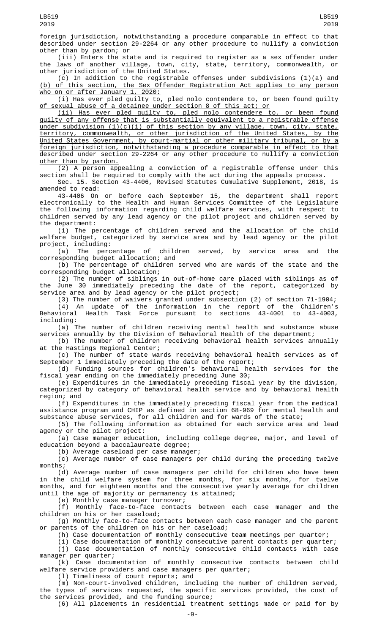(iii) Enters the state and is required to register as a sex offender under the laws of another village, town, city, state, territory, commonwealth, or other jurisdiction of the United States.

(c) In addition to the registrable offenses under subdivisions (1)(a) and (b) of this section, the Sex Offender Registration Act applies to any person who on or after January 1, 2020:

(i) Has ever pled guilty to, pled nolo contendere to, or been found guilty of sexual abuse of a detainee under section 8 of this act; or

(ii) Has ever pled guilty to, pled nolo contendere to, or been found guilty of any offense that is substantially equivalent to a registrable offense under subdivision (1)(c)(i) of this section by any village, town, city, state, territory, commonwealth, or other jurisdiction of the United States, by the United States Government, by court-martial or other military tribunal, or by a foreign jurisdiction, notwithstanding a procedure comparable in effect to that described under section 29-2264 or any other procedure to nullify a conviction other than by pardon.

(2) A person appealing a conviction of a registrable offense under this section shall be required to comply with the act during the appeals process. Sec. 15. Section 43-4406, Revised Statutes Cumulative Supplement, 2018, is

amended to read:

43-4406 On or before each September 15, the department shall report electronically to the Health and Human Services Committee of the Legislature the following information regarding child welfare services, with respect to children served by any lead agency or the pilot project and children served by the department:

(1) The percentage of children served and the allocation of the child welfare budget, categorized by service area and by lead agency or the pilot

project, including:<br>(a) The perc The percentage of children served, by service area and the corresponding budget allocation; and

(b) The percentage of children served who are wards of the state and the corresponding budget allocation;

(2) The number of siblings in out-of-home care placed with siblings as of the June 30 immediately preceding the date of the report, categorized by service area and by lead agency or the pilot project;

(3) The number of waivers granted under subsection (2) of section 71-1904;

(4) An update of the information in the report of the Children's Behavioral Health Task Force pursuant to sections 43-4001 to 43-4003, including:

(a) The number of children receiving mental health and substance abuse services annually by the Division of Behavioral Health of the department;

(b) The number of children receiving behavioral health services annually at the Hastings Regional Center;

(c) The number of state wards receiving behavioral health services as of September 1 immediately preceding the date of the report;

(d) Funding sources for children's behavioral health services for the fiscal year ending on the immediately preceding June 30;

(e) Expenditures in the immediately preceding fiscal year by the division, categorized by category of behavioral health service and by behavioral health region; and

(f) Expenditures in the immediately preceding fiscal year from the medical assistance program and CHIP as defined in section 68-969 for mental health and substance abuse services, for all children and for wards of the state;

(5) The following information as obtained for each service area and lead agency or the pilot project:

(a) Case manager education, including college degree, major, and level of education beyond a baccalaureate degree;

(b) Average caseload per case manager;

(c) Average number of case managers per child during the preceding twelve months;

(d) Average number of case managers per child for children who have been in the child welfare system for three months, for six months, for twelve months, and for eighteen months and the consecutive yearly average for children until the age of majority or permanency is attained;

(e) Monthly case manager turnover;

(f) Monthly face-to-face contacts between each case manager and the children on his or her caseload;

(g) Monthly face-to-face contacts between each case manager and the parent or parents of the children on his or her caseload;

(h) Case documentation of monthly consecutive team meetings per quarter;

(i) Case documentation of monthly consecutive parent contacts per quarter; (j) Case documentation of monthly consecutive child contacts with case manager per quarter;

(k) Case documentation of monthly consecutive contacts between child welfare service providers and case managers per quarter;

(l) Timeliness of court reports; and

(m) Non-court-involved children, including the number of children served, the types of services requested, the specific services provided, the cost of the services provided, and the funding source;

(6) All placements in residential treatment settings made or paid for by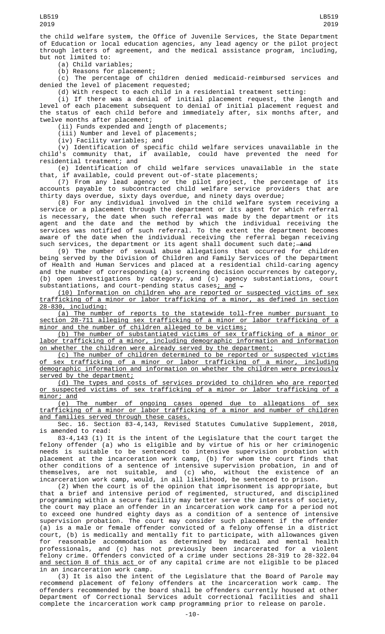the child welfare system, the Office of Juvenile Services, the State Department of Education or local education agencies, any lead agency or the pilot project through letters of agreement, and the medical assistance program, including, but not limited to:

(a) Child variables;

(b) Reasons for placement;

(c) The percentage of children denied medicaid-reimbursed services and denied the level of placement requested;

(d) With respect to each child in a residential treatment setting:

(i) If there was a denial of initial placement request, the length and level of each placement subsequent to denial of initial placement request and the status of each child before and immediately after, six months after, and twelve months after placement;

(ii) Funds expended and length of placements;

(iii) Number and level of placements;

(iv) Facility variables; and

(v) Identification of specific child welfare services unavailable in the child's community that, if available, could have prevented the need for residential treatment; and

(e) Identification of child welfare services unavailable in the state that, if available, could prevent out-of-state placements;

(7) From any lead agency or the pilot project, the percentage of its accounts payable to subcontracted child welfare service providers that are thirty days overdue, sixty days overdue, and ninety days overdue;

(8) For any individual involved in the child welfare system receiving a service or a placement through the department or its agent for which referral is necessary, the date when such referral was made by the department or its agent and the date and the method by which the individual receiving the services was notified of such referral. To the extent the department becomes aware of the date when the individual receiving the referral began receiving such services, the department or its agent shall document such date;—<del>and</del>

(9) The number of sexual abuse allegations that occurred for children being served by the Division of Children and Family Services of the Department of Health and Human Services and placed at a residential child-caring agency and the number of corresponding (a) screening decision occurrences by category, (b) open investigations by category, and (c) agency substantiations, court substantiations, and court-pending status cases<u>; and</u>  $\textcolor{red} \text{-}$ 

(10) Information on children who are reported or suspected victims of sex trafficking of a minor or labor trafficking of a minor, as defined in section 28-830, including:

(a) The number of reports to the statewide toll-free number pursuant to section 28-711 alleging sex trafficking of a minor or labor trafficking of a minor and the number of children alleged to be victims;

(b) The number of substantiated victims of sex trafficking of a minor or labor trafficking of a minor, including demographic information and information on whether the children were already served by the department;

(c) The number of children determined to be reported or suspected victims of sex trafficking of a minor or labor trafficking of a minor, including demographic information and information on whether the children were previously served by the department;

(d) The types and costs of services provided to children who are reported or suspected victims of sex trafficking of a minor or labor trafficking of a minor; and

(e) The number of ongoing cases opened due to allegations of sex trafficking of a minor or labor trafficking of a minor and number of children and families served through these cases.

Sec. 16. Section 83-4,143, Revised Statutes Cumulative Supplement, 2018, is amended to read:

83-4,143 (1) It is the intent of the Legislature that the court target the felony offender (a) who is eligible and by virtue of his or her criminogenic needs is suitable to be sentenced to intensive supervision probation with placement at the incarceration work camp, (b) for whom the court finds that other conditions of a sentence of intensive supervision probation, in and of themselves, are not suitable, and (c) who, without the existence of an incarceration work camp, would, in all likelihood, be sentenced to prison.

(2) When the court is of the opinion that imprisonment is appropriate, but that a brief and intensive period of regimented, structured, and disciplined programming within a secure facility may better serve the interests of society, the court may place an offender in an incarceration work camp for a period not to exceed one hundred eighty days as a condition of a sentence of intensive supervision probation. The court may consider such placement if the offender (a) is a male or female offender convicted of a felony offense in a district court, (b) is medically and mentally fit to participate, with allowances given for reasonable accommodation as determined by medical and mental health professionals, and (c) has not previously been incarcerated for a violent felony crime. Offenders convicted of a crime under sections 28-319 to 28-322.04 and section 8 of this act or of any capital crime are not eligible to be placed in an incarceration work camp.

(3) It is also the intent of the Legislature that the Board of Parole may recommend placement of felony offenders at the incarceration work camp. The offenders recommended by the board shall be offenders currently housed at other Department of Correctional Services adult correctional facilities and shall complete the incarceration work camp programming prior to release on parole.